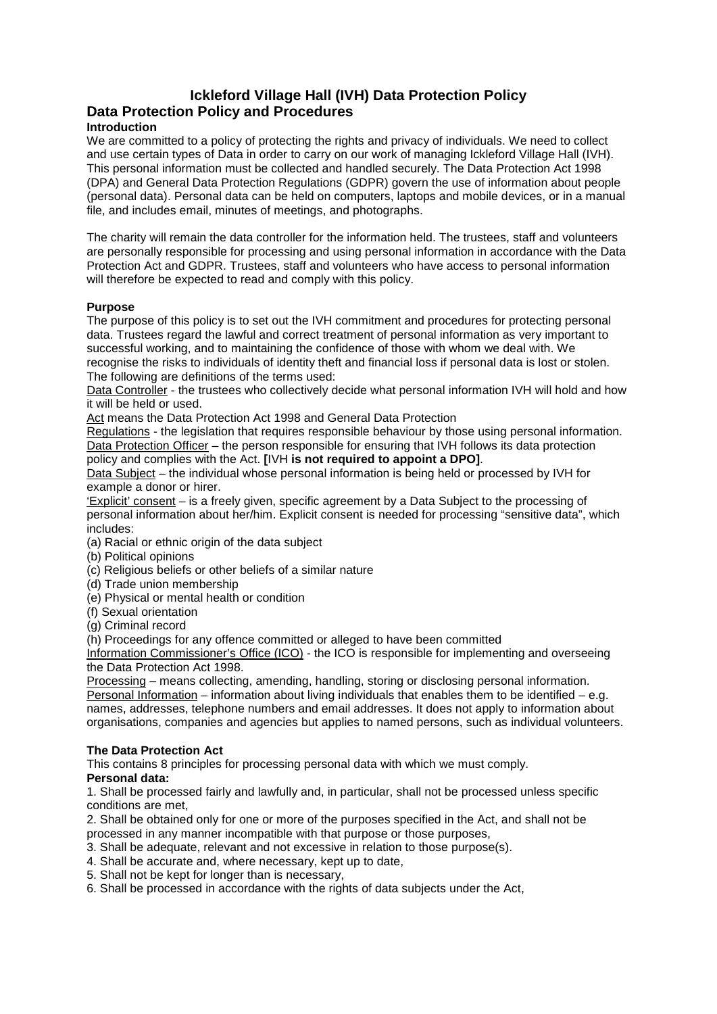# **Ickleford Village Hall (IVH) Data Protection Policy Data Protection Policy and Procedures**

# **Introduction**

We are committed to a policy of protecting the rights and privacy of individuals. We need to collect and use certain types of Data in order to carry on our work of managing Ickleford Village Hall (IVH). This personal information must be collected and handled securely. The Data Protection Act 1998 (DPA) and General Data Protection Regulations (GDPR) govern the use of information about people (personal data). Personal data can be held on computers, laptops and mobile devices, or in a manual file, and includes email, minutes of meetings, and photographs.

The charity will remain the data controller for the information held. The trustees, staff and volunteers are personally responsible for processing and using personal information in accordance with the Data Protection Act and GDPR. Trustees, staff and volunteers who have access to personal information will therefore be expected to read and comply with this policy.

### **Purpose**

The purpose of this policy is to set out the IVH commitment and procedures for protecting personal data. Trustees regard the lawful and correct treatment of personal information as very important to successful working, and to maintaining the confidence of those with whom we deal with. We recognise the risks to individuals of identity theft and financial loss if personal data is lost or stolen. The following are definitions of the terms used:

Data Controller - the trustees who collectively decide what personal information IVH will hold and how it will be held or used.

Act means the Data Protection Act 1998 and General Data Protection

Regulations - the legislation that requires responsible behaviour by those using personal information. Data Protection Officer – the person responsible for ensuring that IVH follows its data protection policy and complies with the Act. **[**IVH **is not required to appoint a DPO]**.

Data Subject – the individual whose personal information is being held or processed by IVH for example a donor or hirer.

'Explicit' consent – is a freely given, specific agreement by a Data Subject to the processing of personal information about her/him. Explicit consent is needed for processing "sensitive data", which includes:

- (a) Racial or ethnic origin of the data subject
- (b) Political opinions
- (c) Religious beliefs or other beliefs of a similar nature
- (d) Trade union membership
- (e) Physical or mental health or condition
- (f) Sexual orientation
- (g) Criminal record

(h) Proceedings for any offence committed or alleged to have been committed

Information Commissioner's Office (ICO) - the ICO is responsible for implementing and overseeing the Data Protection Act 1998.

Processing – means collecting, amending, handling, storing or disclosing personal information. Personal Information – information about living individuals that enables them to be identified – e.g. names, addresses, telephone numbers and email addresses. It does not apply to information about organisations, companies and agencies but applies to named persons, such as individual volunteers.

#### **The Data Protection Act**

This contains 8 principles for processing personal data with which we must comply.

# **Personal data:**

1. Shall be processed fairly and lawfully and, in particular, shall not be processed unless specific conditions are met,

2. Shall be obtained only for one or more of the purposes specified in the Act, and shall not be processed in any manner incompatible with that purpose or those purposes,

- 3. Shall be adequate, relevant and not excessive in relation to those purpose(s).
- 4. Shall be accurate and, where necessary, kept up to date,
- 5. Shall not be kept for longer than is necessary,
- 6. Shall be processed in accordance with the rights of data subjects under the Act,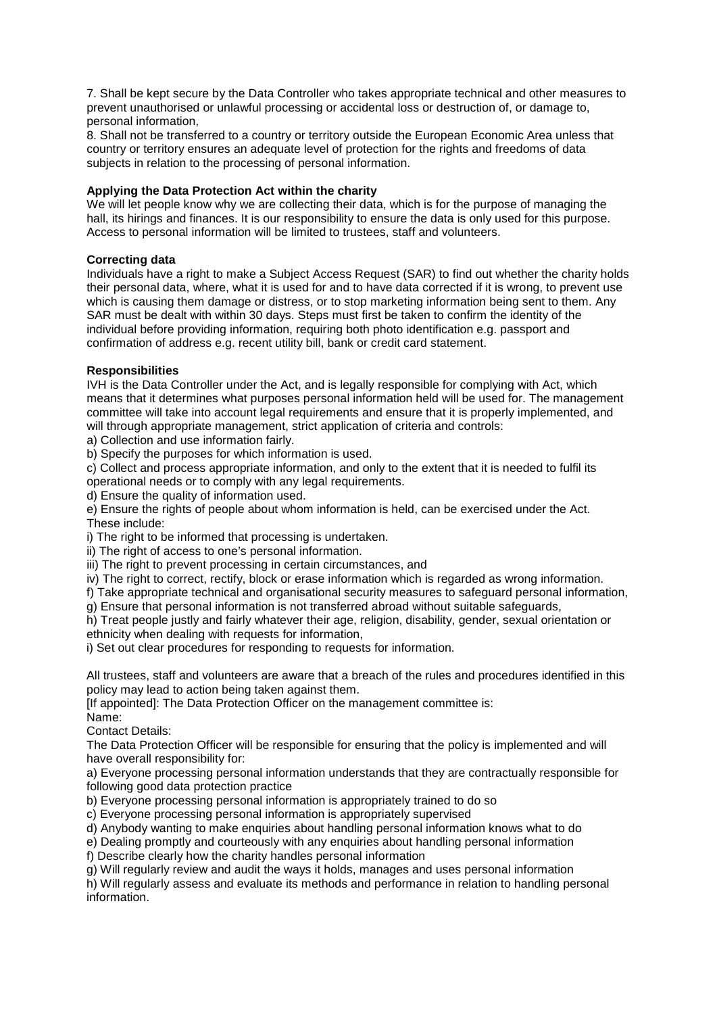7. Shall be kept secure by the Data Controller who takes appropriate technical and other measures to prevent unauthorised or unlawful processing or accidental loss or destruction of, or damage to, personal information,

8. Shall not be transferred to a country or territory outside the European Economic Area unless that country or territory ensures an adequate level of protection for the rights and freedoms of data subjects in relation to the processing of personal information.

### **Applying the Data Protection Act within the charity**

We will let people know why we are collecting their data, which is for the purpose of managing the hall, its hirings and finances. It is our responsibility to ensure the data is only used for this purpose. Access to personal information will be limited to trustees, staff and volunteers.

#### **Correcting data**

Individuals have a right to make a Subject Access Request (SAR) to find out whether the charity holds their personal data, where, what it is used for and to have data corrected if it is wrong, to prevent use which is causing them damage or distress, or to stop marketing information being sent to them. Any SAR must be dealt with within 30 days. Steps must first be taken to confirm the identity of the individual before providing information, requiring both photo identification e.g. passport and confirmation of address e.g. recent utility bill, bank or credit card statement.

### **Responsibilities**

IVH is the Data Controller under the Act, and is legally responsible for complying with Act, which means that it determines what purposes personal information held will be used for. The management committee will take into account legal requirements and ensure that it is properly implemented, and will through appropriate management, strict application of criteria and controls:

a) Collection and use information fairly.

b) Specify the purposes for which information is used.

c) Collect and process appropriate information, and only to the extent that it is needed to fulfil its operational needs or to comply with any legal requirements.

d) Ensure the quality of information used.

e) Ensure the rights of people about whom information is held, can be exercised under the Act. These include:

i) The right to be informed that processing is undertaken.

ii) The right of access to one's personal information.

iii) The right to prevent processing in certain circumstances, and

iv) The right to correct, rectify, block or erase information which is regarded as wrong information.

f) Take appropriate technical and organisational security measures to safeguard personal information,

g) Ensure that personal information is not transferred abroad without suitable safeguards,

h) Treat people justly and fairly whatever their age, religion, disability, gender, sexual orientation or ethnicity when dealing with requests for information,

i) Set out clear procedures for responding to requests for information.

All trustees, staff and volunteers are aware that a breach of the rules and procedures identified in this policy may lead to action being taken against them.

[If appointed]: The Data Protection Officer on the management committee is:

Name:

Contact Details:

The Data Protection Officer will be responsible for ensuring that the policy is implemented and will have overall responsibility for:

a) Everyone processing personal information understands that they are contractually responsible for following good data protection practice

b) Everyone processing personal information is appropriately trained to do so

c) Everyone processing personal information is appropriately supervised

d) Anybody wanting to make enquiries about handling personal information knows what to do

e) Dealing promptly and courteously with any enquiries about handling personal information

f) Describe clearly how the charity handles personal information

g) Will regularly review and audit the ways it holds, manages and uses personal information

h) Will regularly assess and evaluate its methods and performance in relation to handling personal information.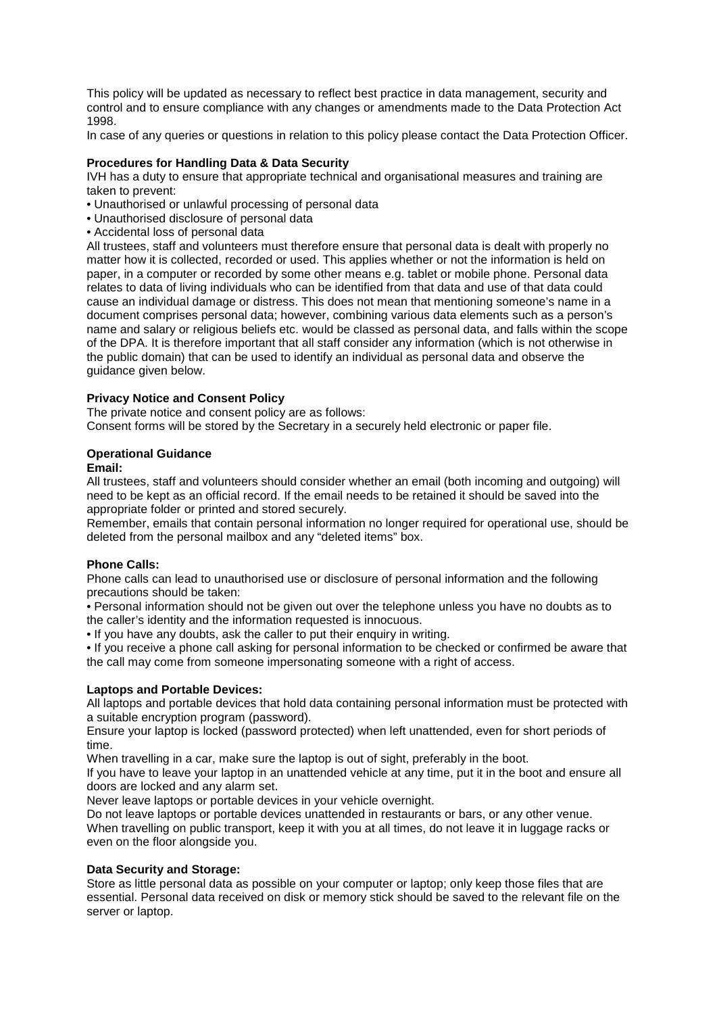This policy will be updated as necessary to reflect best practice in data management, security and control and to ensure compliance with any changes or amendments made to the Data Protection Act 1998.

In case of any queries or questions in relation to this policy please contact the Data Protection Officer.

### **Procedures for Handling Data & Data Security**

IVH has a duty to ensure that appropriate technical and organisational measures and training are taken to prevent:

• Unauthorised or unlawful processing of personal data

- Unauthorised disclosure of personal data
- Accidental loss of personal data

All trustees, staff and volunteers must therefore ensure that personal data is dealt with properly no matter how it is collected, recorded or used. This applies whether or not the information is held on paper, in a computer or recorded by some other means e.g. tablet or mobile phone. Personal data relates to data of living individuals who can be identified from that data and use of that data could cause an individual damage or distress. This does not mean that mentioning someone's name in a document comprises personal data; however, combining various data elements such as a person's name and salary or religious beliefs etc. would be classed as personal data, and falls within the scope of the DPA. It is therefore important that all staff consider any information (which is not otherwise in the public domain) that can be used to identify an individual as personal data and observe the guidance given below.

### **Privacy Notice and Consent Policy**

The private notice and consent policy are as follows:

Consent forms will be stored by the Secretary in a securely held electronic or paper file.

# **Operational Guidance**

### **Email:**

All trustees, staff and volunteers should consider whether an email (both incoming and outgoing) will need to be kept as an official record. If the email needs to be retained it should be saved into the appropriate folder or printed and stored securely.

Remember, emails that contain personal information no longer required for operational use, should be deleted from the personal mailbox and any "deleted items" box.

#### **Phone Calls:**

Phone calls can lead to unauthorised use or disclosure of personal information and the following precautions should be taken:

• Personal information should not be given out over the telephone unless you have no doubts as to the caller's identity and the information requested is innocuous.

• If you have any doubts, ask the caller to put their enquiry in writing.

• If you receive a phone call asking for personal information to be checked or confirmed be aware that the call may come from someone impersonating someone with a right of access.

#### **Laptops and Portable Devices:**

All laptops and portable devices that hold data containing personal information must be protected with a suitable encryption program (password).

Ensure your laptop is locked (password protected) when left unattended, even for short periods of time.

When travelling in a car, make sure the laptop is out of sight, preferably in the boot.

If you have to leave your laptop in an unattended vehicle at any time, put it in the boot and ensure all doors are locked and any alarm set.

Never leave laptops or portable devices in your vehicle overnight.

Do not leave laptops or portable devices unattended in restaurants or bars, or any other venue. When travelling on public transport, keep it with you at all times, do not leave it in luggage racks or even on the floor alongside you.

# **Data Security and Storage:**

Store as little personal data as possible on your computer or laptop; only keep those files that are essential. Personal data received on disk or memory stick should be saved to the relevant file on the server or laptop.